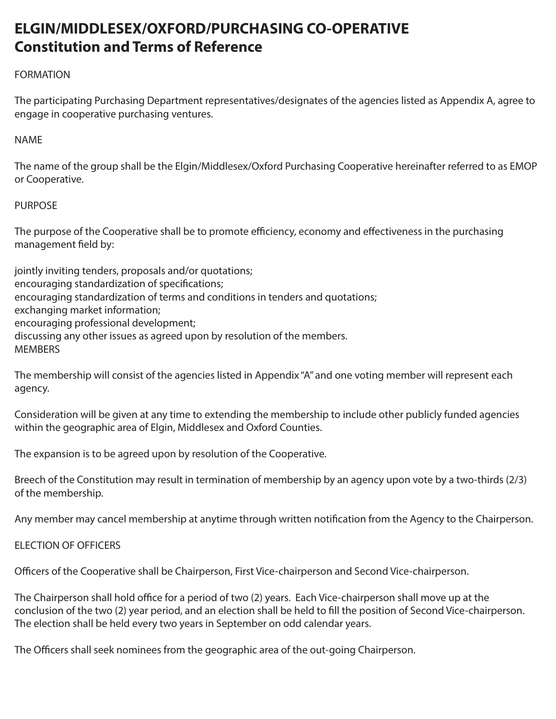# **ELGIN/MIDDLESEX/OXFORD/PURCHASING CO-OPERATIVE Constitution and Terms of Reference**

# FORMATION

The participating Purchasing Department representatives/designates of the agencies listed as Appendix A, agree to engage in cooperative purchasing ventures.

NAME

The name of the group shall be the Elgin/Middlesex/Oxford Purchasing Cooperative hereinafter referred to as EMOP or Cooperative.

## PURPOSE

The purpose of the Cooperative shall be to promote efficiency, economy and effectiveness in the purchasing management field by:

jointly inviting tenders, proposals and/or quotations;

encouraging standardization of specifications;

encouraging standardization of terms and conditions in tenders and quotations;

exchanging market information;

encouraging professional development;

discussing any other issues as agreed upon by resolution of the members.

**MEMBERS** 

The membership will consist of the agencies listed in Appendix "A" and one voting member will represent each agency.

Consideration will be given at any time to extending the membership to include other publicly funded agencies within the geographic area of Elgin, Middlesex and Oxford Counties.

The expansion is to be agreed upon by resolution of the Cooperative.

Breech of the Constitution may result in termination of membership by an agency upon vote by a two-thirds (2/3) of the membership.

Any member may cancel membership at anytime through written notification from the Agency to the Chairperson.

## ELECTION OF OFFICERS

Officers of the Cooperative shall be Chairperson, First Vice-chairperson and Second Vice-chairperson.

The Chairperson shall hold office for a period of two (2) years. Each Vice-chairperson shall move up at the conclusion of the two (2) year period, and an election shall be held to fill the position of Second Vice-chairperson. The election shall be held every two years in September on odd calendar years.

The Officers shall seek nominees from the geographic area of the out-going Chairperson.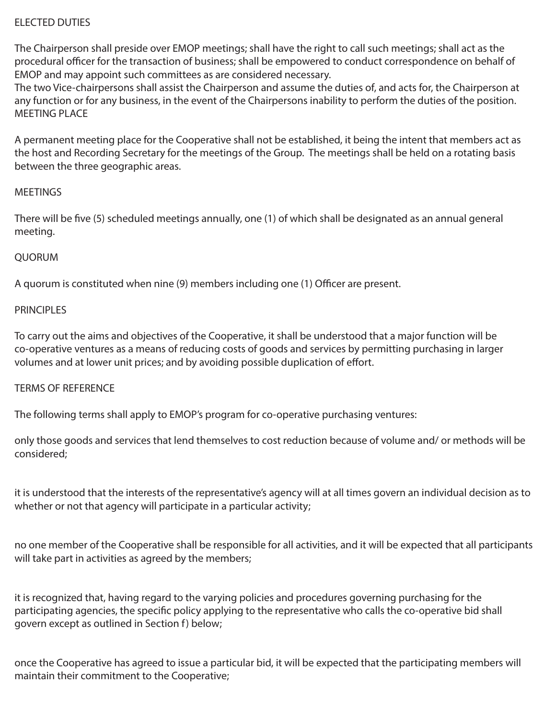# ELECTED DUTIES

The Chairperson shall preside over EMOP meetings; shall have the right to call such meetings; shall act as the procedural officer for the transaction of business; shall be empowered to conduct correspondence on behalf of EMOP and may appoint such committees as are considered necessary.

The two Vice-chairpersons shall assist the Chairperson and assume the duties of, and acts for, the Chairperson at any function or for any business, in the event of the Chairpersons inability to perform the duties of the position. MEETING PLACE

A permanent meeting place for the Cooperative shall not be established, it being the intent that members act as the host and Recording Secretary for the meetings of the Group. The meetings shall be held on a rotating basis between the three geographic areas.

#### **MEETINGS**

There will be five (5) scheduled meetings annually, one (1) of which shall be designated as an annual general meeting.

#### QUORUM

A quorum is constituted when nine (9) members including one (1) Officer are present.

#### PRINCIPI **FS**

To carry out the aims and objectives of the Cooperative, it shall be understood that a major function will be co-operative ventures as a means of reducing costs of goods and services by permitting purchasing in larger volumes and at lower unit prices; and by avoiding possible duplication of effort.

#### TERMS OF REFERENCE

The following terms shall apply to EMOP's program for co-operative purchasing ventures:

only those goods and services that lend themselves to cost reduction because of volume and/ or methods will be considered;

it is understood that the interests of the representative's agency will at all times govern an individual decision as to whether or not that agency will participate in a particular activity;

no one member of the Cooperative shall be responsible for all activities, and it will be expected that all participants will take part in activities as agreed by the members;

it is recognized that, having regard to the varying policies and procedures governing purchasing for the participating agencies, the specific policy applying to the representative who calls the co-operative bid shall govern except as outlined in Section f) below;

once the Cooperative has agreed to issue a particular bid, it will be expected that the participating members will maintain their commitment to the Cooperative;